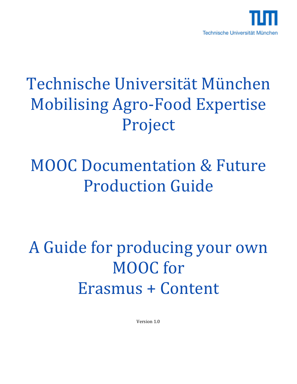

## Technische Universität München Mobilising Agro-Food Expertise Project

## MOOC Documentation & Future Production Guide

## A Guide for producing your own MOOC for Erasmus + Content

Version 1.0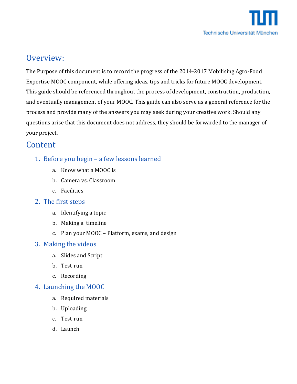

### Overview:

The Purpose of this document is to record the progress of the 2014-2017 Mobilising Agro-Food Expertise MOOC component, while offering ideas, tips and tricks for future MOOC development. This guide should be referenced throughout the process of development, construction, production, and eventually management of your MOOC. This guide can also serve as a general reference for the process and provide many of the answers you may seek during your creative work. Should any questions arise that this document does not address, they should be forwarded to the manager of your project.

### **Content**

- 1. Before you begin a few lessons learned
	- a. Know what a MOOC is
	- b. Camera vs. Classroom
	- c. Facilities
- 2. The first steps
	- a. Identifying a topic
	- b. Making a timeline
	- c. Plan your MOOC Platform, exams, and design

### 3. Making the videos

- a. Slides and Script
- b. Test-run
- c. Recording

### 4. Launching the MOOC

- a. Required materials
- b. Uploading
- c. Test-run
- d. Launch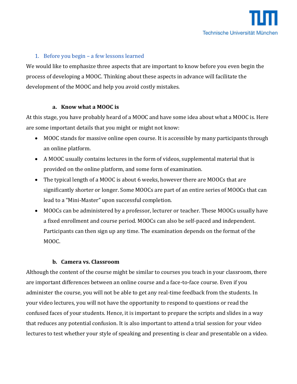### 1. Before you begin – a few lessons learned

We would like to emphasize three aspects that are important to know before you even begin the process of developing a MOOC. Thinking about these aspects in advance will facilitate the development of the MOOC and help you avoid costly mistakes.

### **a. Know what a MOOC is**

At this stage, you have probably heard of a MOOC and have some idea about what a MOOC is. Here are some important details that you might or might not know:

- MOOC stands for massive online open course. It is accessible by many participants through an online platform.
- A MOOC usually contains lectures in the form of videos, supplemental material that is provided on the online platform, and some form of examination.
- The typical length of a MOOC is about 6 weeks, however there are MOOCs that are significantly shorter or longer. Some MOOCs are part of an entire series of MOOCs that can lead to a "Mini-Master" upon successful completion.
- MOOCs can be administered by a professor, lecturer or teacher. These MOOCs usually have a fixed enrollment and course period. MOOCs can also be self-paced and independent. Participants can then sign up any time. The examination depends on the format of the MOOC.

### **b. Camera vs. Classroom**

Although the content of the course might be similar to courses you teach in your classroom, there are important differences between an online course and a face-to-face course. Even if you administer the course, you will not be able to get any real-time feedback from the students. In your video lectures, you will not have the opportunity to respond to questions or read the confused faces of your students. Hence, it is important to prepare the scripts and slides in a way that reduces any potential confusion. It is also important to attend a trial session for your video lectures to test whether your style of speaking and presenting is clear and presentable on a video.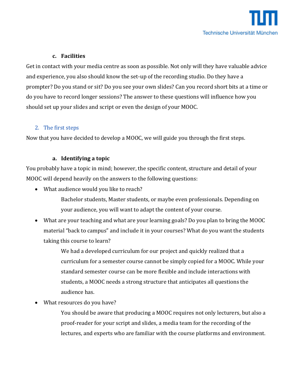### **c. Facilities**

Get in contact with your media centre as soon as possible. Not only will they have valuable advice and experience, you also should know the set-up of the recording studio. Do they have a prompter? Do you stand or sit? Do you see your own slides? Can you record short bits at a time or do you have to record longer sessions? The answer to these questions will influence how you should set up your slides and script or even the design of your MOOC.

### 2. The first steps

Now that you have decided to develop a MOOC, we will guide you through the first steps.

### **a. Identifying a topic**

You probably have a topic in mind; however, the specific content, structure and detail of your MOOC will depend heavily on the answers to the following questions:

What audience would you like to reach?

Bachelor students, Master students, or maybe even professionals. Depending on your audience, you will want to adapt the content of your course.

 What are your teaching and what are your learning goals? Do you plan to bring the MOOC material "back to campus" and include it in your courses? What do you want the students taking this course to learn?

> We had a developed curriculum for our project and quickly realized that a curriculum for a semester course cannot be simply copied for a MOOC. While your standard semester course can be more flexible and include interactions with students, a MOOC needs a strong structure that anticipates all questions the audience has.

What resources do you have?

You should be aware that producing a MOOC requires not only lecturers, but also a proof-reader for your script and slides, a media team for the recording of the lectures, and experts who are familiar with the course platforms and environment.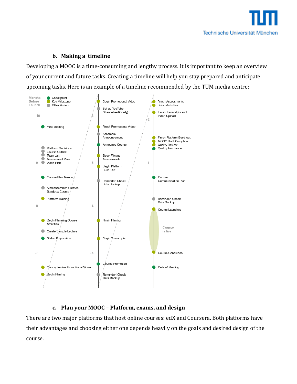

### **b. Making a timeline**

Developing a MOOC is a time-consuming and lengthy process. It is important to keep an overview of your current and future tasks. Creating a timeline will help you stay prepared and anticipate upcoming tasks. Here is an example of a timeline recommended by the TUM media centre:



### **c. Plan your MOOC – Platform, exams, and design**

There are two major platforms that host online courses: edX and Coursera. Both platforms have their advantages and choosing either one depends heavily on the goals and desired design of the course.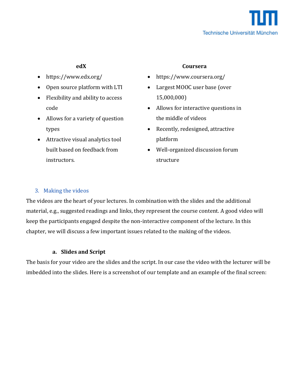

- https://www.edx.org/
- Open source platform with LTI
- Flexibility and ability to access code
- Allows for a variety of question types
- Attractive visual analytics tool built based on feedback from instructors.

### **edX Coursera**

- https://www.coursera.org/
- Largest MOOC user base (over 15,000,000)
- Allows for interactive questions in the middle of videos
- Recently, redesigned, attractive platform
- Well-organized discussion forum structure

### 3. Making the videos

The videos are the heart of your lectures. In combination with the slides and the additional material, e.g., suggested readings and links, they represent the course content. A good video will keep the participants engaged despite the non-interactive component of the lecture. In this chapter, we will discuss a few important issues related to the making of the videos.

### **a. Slides and Script**

The basis for your video are the slides and the script. In our case the video with the lecturer will be imbedded into the slides. Here is a screenshot of our template and an example of the final screen: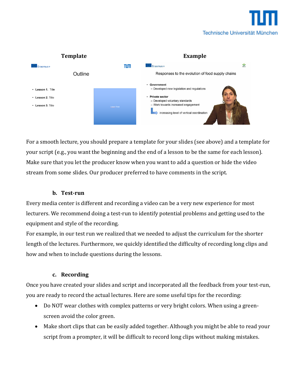



For a smooth lecture, you should prepare a template for your slides (see above) and a template for your script (e.g., you want the beginning and the end of a lesson to be the same for each lesson). Make sure that you let the producer know when you want to add a question or hide the video stream from some slides. Our producer preferred to have comments in the script.

### **b. Test-run**

Every media center is different and recording a video can be a very new experience for most lecturers. We recommend doing a test-run to identify potential problems and getting used to the equipment and style of the recording.

For example, in our test run we realized that we needed to adjust the curriculum for the shorter length of the lectures. Furthermore, we quickly identified the difficulty of recording long clips and how and when to include questions during the lessons.

### **c. Recording**

Once you have created your slides and script and incorporated all the feedback from your test-run, you are ready to record the actual lectures. Here are some useful tips for the recording:

- Do NOT wear clothes with complex patterns or very bright colors. When using a greenscreen avoid the color green.
- Make short clips that can be easily added together. Although you might be able to read your script from a prompter, it will be difficult to record long clips without making mistakes.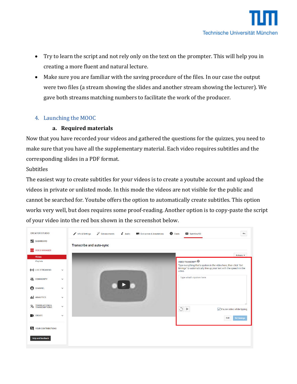- Try to learn the script and not rely only on the text on the prompter. This will help you in creating a more fluent and natural lecture.
- Make sure you are familiar with the saving procedure of the files. In our case the output were two files (a stream showing the slides and another stream showing the lecturer). We gave both streams matching numbers to facilitate the work of the producer.

### 4. Launching the MOOC

### **a. Required materials**

Now that you have recorded your videos and gathered the questions for the quizzes, you need to make sure that you have all the supplementary material. Each video requires subtitles and the corresponding slides in a PDF format.

### Subtitles

The easiest way to create subtitles for your videos is to create a youtube account and upload the videos in private or unlisted mode. In this mode the videos are not visible for the public and cannot be searched for. Youtube offers the option to automatically create subtitles. This option works very well, but does requires some proof-reading. Another option is to copy-paste the script of your video into the red box shown in the screenshot below.

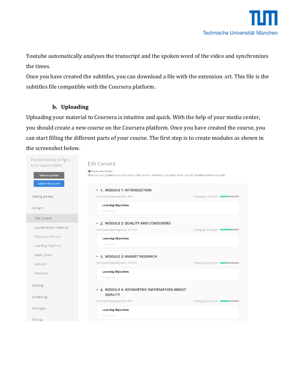Youtube automatically analyses the transcript and the spoken word of the video and synchronizes the times.

Once you have created the subtitles, you can download a file with the extension .srt. This file is the subtitles file compatible with the Coursera platform.

### **b. Uploading**

Uploading your material to Coursera is intuitive and quick. With the help of your media center, you should create a new course on the Coursera platform. Once you have created the course, you can start filling the different parts of your course. The first step is to create modules as shown in the screenshot below.

| The Economics of Agro-<br><b>Food Value Chains</b> | <b>Edit Content</b>                                                                                                                   |                      |
|----------------------------------------------------|---------------------------------------------------------------------------------------------------------------------------------------|----------------------|
| View as learner                                    | Preview this Version<br>Modules and graded items are locked after launch. However, ungraded items are still editable within a module. |                      |
| Submit for launch                                  | ▶ 1. MODULE 1: INTRODUCTION                                                                                                           |                      |
| <b>Getting Started</b>                             | Estimated learning time: 50m                                                                                                          | Pedagogy Strength:   |
| Content                                            | <b>Learning Objectives</b><br>6 objectives                                                                                            |                      |
| <b>Edit Content</b>                                |                                                                                                                                       |                      |
| Supplementary Materials                            | ▶ 2. MODULE 2: QUALITY AND CONSUMERS<br>Estimated learning time: 1h 14m                                                               | Pedagogy Strength: 0 |
| <b>Discussion Forums</b>                           | <b>Learning Objectives</b>                                                                                                            |                      |
| Learning Objectives                                | 3 objectives                                                                                                                          |                      |
| Asset Library                                      | ▶ 3. MODULE 3: MARKET RESEARCH                                                                                                        |                      |
| Versions                                           | Estimated learning time: 1h 32m                                                                                                       | Pedagogy Strength:   |
| Feedback                                           | <b>Learning Objectives</b><br>3 objectives                                                                                            |                      |
| Grading                                            | ▶ 4. MODULE 4: ASYMMETRIC INFORMATION ABOUT                                                                                           |                      |
| Scheduling                                         | <b>QUALITY</b><br>Estimated learning time: 57m                                                                                        | Pedagogy Strength:   |
| Messages                                           | <b>Learning Objectives</b>                                                                                                            |                      |
| Settings                                           | 3 objectives                                                                                                                          |                      |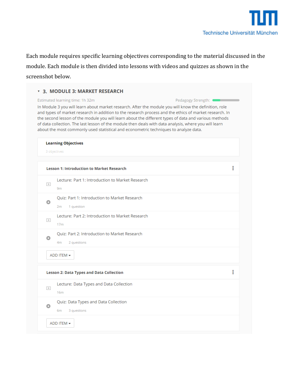

Each module requires specific learning objectives corresponding to the material discussed in the module. Each module is then divided into lessons with videos and quizzes as shown in the screenshot below.

|                            | Estimated learning time: 1h 32m                                                | Pedagogy Strength: 0                                                                                                                                                                                                                                                                                                                                                                                                                                                                                                     |  |
|----------------------------|--------------------------------------------------------------------------------|--------------------------------------------------------------------------------------------------------------------------------------------------------------------------------------------------------------------------------------------------------------------------------------------------------------------------------------------------------------------------------------------------------------------------------------------------------------------------------------------------------------------------|--|
|                            |                                                                                | In Module 3 you will learn about market research. After the module you will know the definition, role<br>and types of market research in addition to the research process and the ethics of market research. In<br>the second lesson of the module you will learn about the different types of data and various methods<br>of data collection. The last lesson of the module then deals with data analysis, where you will learn<br>about the most commonly used statistical and econometric techniques to analyze data. |  |
| <b>Learning Objectives</b> |                                                                                |                                                                                                                                                                                                                                                                                                                                                                                                                                                                                                                          |  |
|                            | 3 objectives                                                                   |                                                                                                                                                                                                                                                                                                                                                                                                                                                                                                                          |  |
|                            | <b>Lesson 1: Introduction to Market Research</b>                               | i                                                                                                                                                                                                                                                                                                                                                                                                                                                                                                                        |  |
| $\triangleright$           | Lecture: Part 1: Introduction to Market Research<br>9 <sub>m</sub>             |                                                                                                                                                                                                                                                                                                                                                                                                                                                                                                                          |  |
| o                          | Quiz: Part 1: Introduction to Market Research<br>2m<br>1 question              |                                                                                                                                                                                                                                                                                                                                                                                                                                                                                                                          |  |
| $\triangleright$           | Lecture: Part 2: Introduction to Market Research<br>17 <sub>m</sub>            |                                                                                                                                                                                                                                                                                                                                                                                                                                                                                                                          |  |
| o                          | Ouiz: Part 2: Introduction to Market Research<br>4 <sub>m</sub><br>2 questions |                                                                                                                                                                                                                                                                                                                                                                                                                                                                                                                          |  |
|                            | ADD ITEM <del>▼</del>                                                          |                                                                                                                                                                                                                                                                                                                                                                                                                                                                                                                          |  |
|                            | <b>Lesson 2: Data Types and Data Collection</b>                                | i                                                                                                                                                                                                                                                                                                                                                                                                                                                                                                                        |  |
| $\triangleright$           | Lecture: Data Types and Data Collection<br>16 <sub>m</sub>                     |                                                                                                                                                                                                                                                                                                                                                                                                                                                                                                                          |  |
| o                          | Quiz: Data Types and Data Collection<br>6m<br>3 questions                      |                                                                                                                                                                                                                                                                                                                                                                                                                                                                                                                          |  |
|                            |                                                                                |                                                                                                                                                                                                                                                                                                                                                                                                                                                                                                                          |  |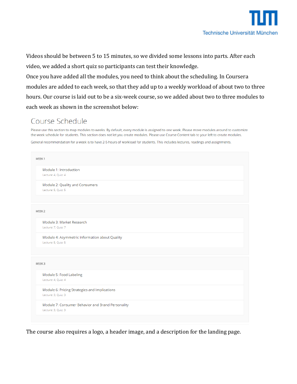

Videos should be between 5 to 15 minutes, so we divided some lessons into parts. After each video, we added a short quiz so participants can test their knowledge.

Once you have added all the modules, you need to think about the scheduling. In Coursera modules are added to each week, so that they add up to a weekly workload of about two to three hours. Our course is laid out to be a six-week course, so we added about two to three modules to each week as shown in the screenshot below:

### Course Schedule

Please use this section to map modules to weeks. By default, every module is assigned to one week. Please move modules around to customize the week schedule for students. This section does not let you create modules. Please use Course Content tab to your left to create modules.

General recommendation for a week is to have 2-5 hours of workload for students. This includes lectures, readings and assignments.

| WEEK 1 |                                                   |
|--------|---------------------------------------------------|
|        | Module 1: Introduction                            |
|        | Lecture: 4, Quiz: 4                               |
|        | Module 2: Quality and Consumers                   |
|        | Lecture: 5, Quiz: 5                               |
|        |                                                   |
| WEEK 2 |                                                   |
|        | Module 3: Market Research                         |
|        | Lecture: 7, Quiz: 7                               |
|        | Module 4: Asymmetric Information about Quality    |
|        | Lecture: 5, Quiz: 5                               |
|        |                                                   |
| WEEK3  |                                                   |
|        | Module 5: Food Labeling                           |
|        | Lecture: 4, Quiz: 4                               |
|        | Module 6: Pricing Strategies and Implications     |
|        | Lecture: 3, Quiz: 3                               |
|        | Module 7: Consumer Behavior and Brand Personality |
|        | Lecture: 3, Quiz: 3                               |

The course also requires a logo, a header image, and a description for the landing page.